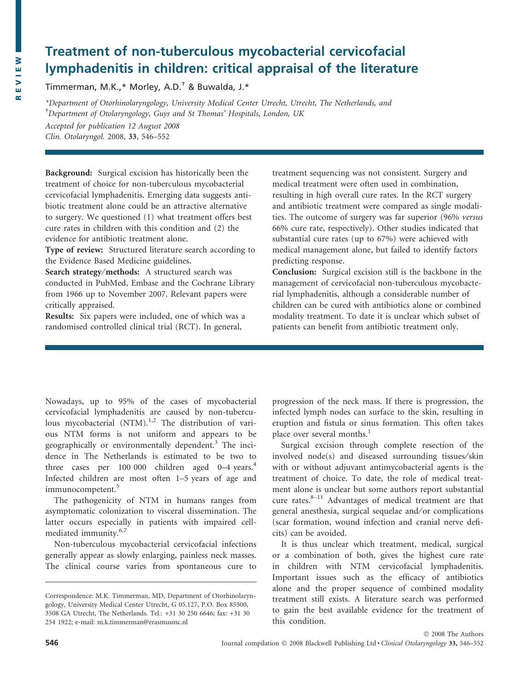# Treatment of non-tuberculous mycobacterial cervicofacial lymphadenitis in children: critical appraisal of the literature

Timmerman, M.K.,\* Morley, A.D.† & Buwalda, J.\*

\*Department of Otorhinolaryngology, University Medical Center Utrecht, Utrecht, The Netherlands, and <sup>†</sup>Department of Otolaryngology, Guys and St Thomas' Hospitals, London, UK

Accepted for publication 12 August 2008 Clin. Otolaryngol. 2008, 33, 546–552

Background: Surgical excision has historically been the treatment of choice for non-tuberculous mycobacterial cervicofacial lymphadenitis. Emerging data suggests antibiotic treatment alone could be an attractive alternative to surgery. We questioned (1) what treatment offers best cure rates in children with this condition and (2) the evidence for antibiotic treatment alone.

Type of review: Structured literature search according to the Evidence Based Medicine guidelines.

Search strategy/methods: A structured search was conducted in PubMed, Embase and the Cochrane Library from 1966 up to November 2007. Relevant papers were critically appraised.

Results: Six papers were included, one of which was a randomised controlled clinical trial (RCT). In general,

treatment sequencing was not consistent. Surgery and medical treatment were often used in combination, resulting in high overall cure rates. In the RCT surgery and antibiotic treatment were compared as single modalities. The outcome of surgery was far superior (96% versus 66% cure rate, respectively). Other studies indicated that substantial cure rates (up to 67%) were achieved with medical management alone, but failed to identify factors predicting response.

Conclusion: Surgical excision still is the backbone in the management of cervicofacial non-tuberculous mycobacterial lymphadenitis, although a considerable number of children can be cured with antibiotics alone or combined modality treatment. To date it is unclear which subset of patients can benefit from antibiotic treatment only.

Nowadays, up to 95% of the cases of mycobacterial cervicofacial lymphadenitis are caused by non-tuberculous mycobacterial  $(NTM)^{1,2}$  The distribution of various NTM forms is not uniform and appears to be geographically or environmentally dependent.<sup>3</sup> The incidence in The Netherlands is estimated to be two to three cases per 100 000 children aged 0–4 years. $4$ Infected children are most often 1–5 years of age and immunocompetent.<sup>5</sup>

The pathogenicity of NTM in humans ranges from asymptomatic colonization to visceral dissemination. The latter occurs especially in patients with impaired cellmediated immunity.<sup>6,7</sup>

Non-tuberculous mycobacterial cervicofacial infections generally appear as slowly enlarging, painless neck masses. The clinical course varies from spontaneous cure to progression of the neck mass. If there is progression, the infected lymph nodes can surface to the skin, resulting in eruption and fistula or sinus formation. This often takes place over several months.<sup>1</sup>

Surgical excision through complete resection of the involved node(s) and diseased surrounding tissues⁄skin with or without adjuvant antimycobacterial agents is the treatment of choice. To date, the role of medical treatment alone is unclear but some authors report substantial cure rates. $8-11$  Advantages of medical treatment are that general anesthesia, surgical sequelae and/or complications (scar formation, wound infection and cranial nerve deficits) can be avoided.

It is thus unclear which treatment, medical, surgical or a combination of both, gives the highest cure rate in children with NTM cervicofacial lymphadenitis. Important issues such as the efficacy of antibiotics alone and the proper sequence of combined modality treatment still exists. A literature search was performed to gain the best available evidence for the treatment of this condition.

Correspondence: M.K. Timmerman, MD, Department of Otorhinolaryngology, University Medical Center Utrecht, G 05.127, P.O. Box 85500, 3508 GA Utrecht, The Netherlands. Tel.: +31 30 250 6646; fax: +31 30 254 1922; e-mail: m.k.timmerman@erasmusmc.nl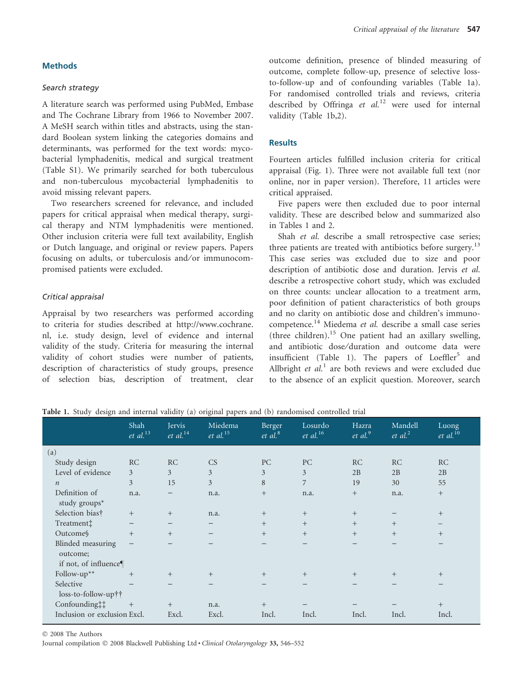### Methods

#### Search strategy

A literature search was performed using PubMed, Embase and The Cochrane Library from 1966 to November 2007. A MeSH search within titles and abstracts, using the standard Boolean system linking the categories domains and determinants, was performed for the text words: mycobacterial lymphadenitis, medical and surgical treatment (Table S1). We primarily searched for both tuberculous and non-tuberculous mycobacterial lymphadenitis to avoid missing relevant papers.

Two researchers screened for relevance, and included papers for critical appraisal when medical therapy, surgical therapy and NTM lymphadenitis were mentioned. Other inclusion criteria were full text availability, English or Dutch language, and original or review papers. Papers focusing on adults, or tuberculosis and/or immunocompromised patients were excluded.

#### Critical appraisal

Appraisal by two researchers was performed according to criteria for studies described at http://www.cochrane. nl, i.e. study design, level of evidence and internal validity of the study. Criteria for measuring the internal validity of cohort studies were number of patients, description of characteristics of study groups, presence of selection bias, description of treatment, clear outcome definition, presence of blinded measuring of outcome, complete follow-up, presence of selective lossto-follow-up and of confounding variables (Table 1a). For randomised controlled trials and reviews, criteria described by Offringa et  $al$ <sup>12</sup> were used for internal validity (Table 1b,2).

# **Results**

Fourteen articles fulfilled inclusion criteria for critical appraisal (Fig. 1). Three were not available full text (nor online, nor in paper version). Therefore, 11 articles were critical appraised.

Five papers were then excluded due to poor internal validity. These are described below and summarized also in Tables 1 and 2.

Shah et al. describe a small retrospective case series; three patients are treated with antibiotics before surgery.<sup>13</sup> This case series was excluded due to size and poor description of antibiotic dose and duration. Jervis et al. describe a retrospective cohort study, which was excluded on three counts: unclear allocation to a treatment arm, poor definition of patient characteristics of both groups and no clarity on antibiotic dose and children's immunocompetence.<sup>14</sup> Miedema et al. describe a small case series (three children).<sup>15</sup> One patient had an axillary swelling, and antibiotic dose/duration and outcome data were insufficient (Table 1). The papers of  $Loeffler<sup>5</sup>$  and Allbright et  $al<sup>1</sup>$  are both reviews and were excluded due to the absence of an explicit question. Moreover, search

#### Table 1. Study design and internal validity (a) original papers and (b) randomised controlled trial

|                                   | Shah<br>$et$ al. $^{13}$ | <b>Jervis</b><br>$et$ al. <sup>14</sup> | Miedema<br>$et$ al. <sup>15</sup> | Berger<br>et al. <sup>8</sup> | Losurdo<br>$et$ al. <sup>16</sup> | Hazra<br>et al. <sup>9</sup> | Mandell<br>$et$ al. <sup>2</sup> | Luong<br>$et$ al. $^{10}$ |
|-----------------------------------|--------------------------|-----------------------------------------|-----------------------------------|-------------------------------|-----------------------------------|------------------------------|----------------------------------|---------------------------|
| (a)                               |                          |                                         |                                   |                               |                                   |                              |                                  |                           |
| Study design                      | <b>RC</b>                | RC                                      | CS                                | PC                            | PC                                | <b>RC</b>                    | RC                               | <b>RC</b>                 |
| Level of evidence                 | 3                        | 3                                       | 3                                 | 3                             | 3                                 | 2B                           | 2B                               | 2B                        |
| $\boldsymbol{n}$                  | 3                        | 15                                      | 3                                 | 8                             | 7                                 | 19                           | 30                               | 55                        |
| Definition of<br>study groups $*$ | n.a.                     |                                         | n.a.                              | $+$                           | n.a.                              | $+$                          | n.a.                             | $+$                       |
| Selection bias†                   | $+$                      | $+$                                     | n.a.                              | $+$                           | $+$                               | $+$                          |                                  | $^{+}$                    |
| Treatment <sup>†</sup>            | $\overline{\phantom{0}}$ | $\overline{\phantom{m}}$                | $\overline{\phantom{m}}$          | $+$                           | $+$                               | $+$                          | $^{+}$                           | —                         |
| Outcome                           | $+$                      | $+$                                     |                                   | $+$                           | $+$                               | $+$                          | $^{+}$                           | $^{+}$                    |
| Blinded measuring<br>outcome;     | —                        |                                         |                                   |                               |                                   |                              |                                  |                           |
| if not, of influence $\P$         |                          |                                         |                                   |                               |                                   |                              |                                  |                           |
| Follow- $up^{**}$                 | $+$                      | $^{+}$                                  | $+$                               | $+$                           | $^{+}$                            | $+$                          | $^{+}$                           | $^{+}$                    |
| Selective<br>loss-to-follow-up††  |                          | $\overline{\phantom{0}}$                |                                   |                               |                                   |                              |                                  |                           |
| Confounding:                      | $^{+}$                   | $^{+}$                                  | n.a.                              | $+$                           |                                   |                              |                                  | $+$                       |
| Inclusion or exclusion Excl.      |                          | Excl.                                   | Excl.                             | Incl.                         | Incl.                             | Incl.                        | Incl.                            | Incl.                     |

© 2008 The Authors

Journal compilation © 2008 Blackwell Publishing Ltd · Clinical Otolaryngology 33, 546-552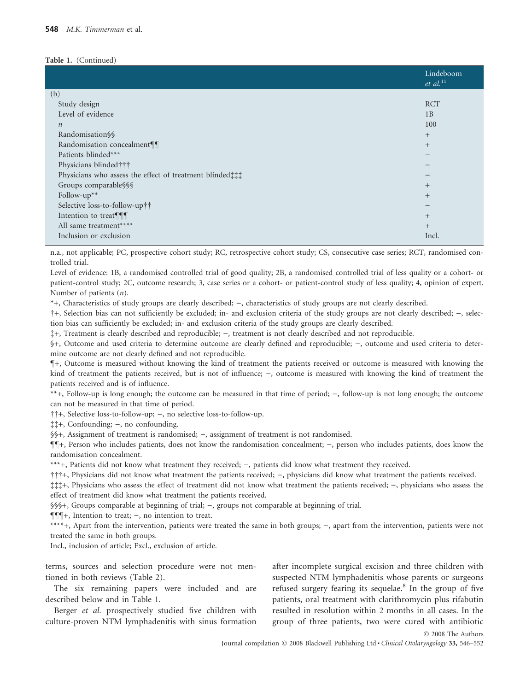#### Table 1. (Continued)

|                                                        | Lindeboom<br>$et$ al. $^{11}$ |
|--------------------------------------------------------|-------------------------------|
| (b)                                                    |                               |
| Study design                                           | <b>RCT</b>                    |
| Level of evidence                                      | 1B                            |
| $\boldsymbol{n}$                                       | 100                           |
| Randomisation§§                                        | $^{+}$                        |
| Randomisation concealment¶                             | $^{+}$                        |
| Patients blinded***                                    |                               |
| Physicians blinded † † †                               |                               |
| Physicians who assess the effect of treatment blinded; |                               |
| Groups comparable§§§                                   | $^{+}$                        |
| Follow- $up^{**}$                                      | $^{+}$                        |
| Selective loss-to-follow-up††                          |                               |
| Intention to treat¶¶                                   | $^{+}$                        |
| All same treatment****                                 | $^{+}$                        |
| Inclusion or exclusion                                 | Incl.                         |
|                                                        |                               |

n.a., not applicable; PC, prospective cohort study; RC, retrospective cohort study; CS, consecutive case series; RCT, randomised controlled trial.

Level of evidence: 1B, a randomised controlled trial of good quality; 2B, a randomised controlled trial of less quality or a cohort- or patient-control study; 2C, outcome research; 3, case series or a cohort- or patient-control study of less quality; 4, opinion of expert. Number of patients (n).

\*+, Characteristics of study groups are clearly described;  $-$ , characteristics of study groups are not clearly described.

†+, Selection bias can not sufficiently be excluded; in- and exclusion criteria of the study groups are not clearly described; -, selection bias can sufficiently be excluded; in- and exclusion criteria of the study groups are clearly described.

 $\ddagger +$ , Treatment is clearly described and reproducible;  $-$ , treatment is not clearly described and not reproducible.

§+, Outcome and used criteria to determine outcome are clearly defined and reproducible; -, outcome and used criteria to determine outcome are not clearly defined and not reproducible.

–+, Outcome is measured without knowing the kind of treatment the patients received or outcome is measured with knowing the kind of treatment the patients received, but is not of influence;  $-$ , outcome is measured with knowing the kind of treatment the patients received and is of influence.

\*\*+, Follow-up is long enough; the outcome can be measured in that time of period;  $-$ , follow-up is not long enough; the outcome can not be measured in that time of period.

††+, Selective loss-to-follow-up; -, no selective loss-to-follow-up.

 $\ddagger$  $\ddagger$ +, Confounding; –, no confounding.

§§+, Assignment of treatment is randomised; ), assignment of treatment is not randomised.

 $\P$ <sup> $[$ </sup>+, Person who includes patients, does not know the randomisation concealment;  $-$ , person who includes patients, does know the randomisation concealment.

\*\*\*+, Patients did not know what treatment they received; -, patients did know what treatment they received.

†††+, Physicians did not know what treatment the patients received; -, physicians did know what treatment the patients received.

 $\ddagger \ddagger +$ , Physicians who assess the effect of treatment did not know what treatment the patients received;  $-$ , physicians who assess the effect of treatment did know what treatment the patients received.

§§§+, Groups comparable at beginning of trial;  $-$ , groups not comparable at beginning of trial.

 $\P\P\P$ +, Intention to treat; -, no intention to treat.

\*\*\*\*+, Apart from the intervention, patients were treated the same in both groups;  $-$ , apart from the intervention, patients were not treated the same in both groups.

Incl., inclusion of article; Excl., exclusion of article.

terms, sources and selection procedure were not mentioned in both reviews (Table 2).

The six remaining papers were included and are described below and in Table 1.

Berger et al. prospectively studied five children with culture-proven NTM lymphadenitis with sinus formation after incomplete surgical excision and three children with suspected NTM lymphadenitis whose parents or surgeons refused surgery fearing its sequelae.<sup>8</sup> In the group of five patients, oral treatment with clarithromycin plus rifabutin resulted in resolution within 2 months in all cases. In the group of three patients, two were cured with antibiotic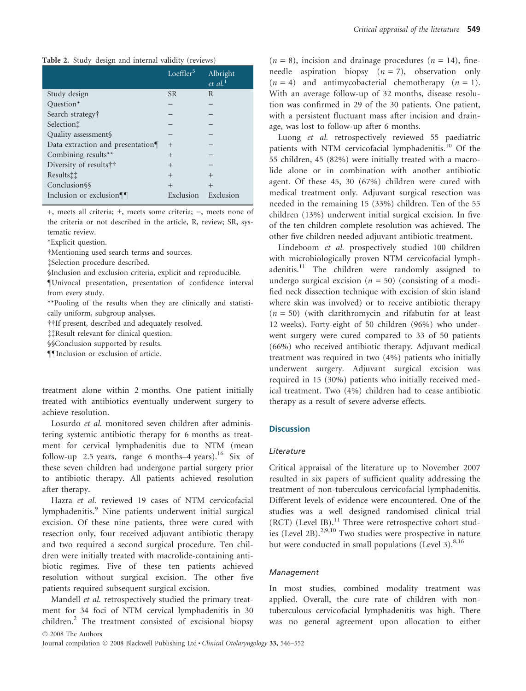Table 2. Study design and internal validity (reviews)

|                                  | Loeffler <sup>5</sup> | Albright<br>$et \ al.$ <sup>1</sup> |
|----------------------------------|-----------------------|-------------------------------------|
| Study design                     | <b>SR</b>             | R                                   |
| Question*                        |                       |                                     |
| Search strategy†                 |                       |                                     |
| Selection <sup>†</sup>           |                       |                                     |
| Quality assessment§              |                       |                                     |
| Data extraction and presentation | $^{+}$                |                                     |
| Combining results**              | $^{+}$                |                                     |
| Diversity of results††           | $^{+}$                |                                     |
| Results <sup>††</sup>            | $^{+}$                | $^{+}$                              |
| Conclusion\\                     | $^{+}$                | $^{+}$                              |
| Inclusion or exclusion¶          | Exclusion             | Exclusion                           |

+, meets all criteria;  $\pm$ , meets some criteria;  $-$ , meets none of the criteria or not described in the article, R, review; SR, systematic review.

\*Explicit question.

-Mentioning used search terms and sources.

Selection procedure described.

§Inclusion and exclusion criteria, explicit and reproducible.

–Univocal presentation, presentation of confidence interval from every study.

\*\*Pooling of the results when they are clinically and statistically uniform, subgroup analyses.

--If present, described and adequately resolved.

Result relevant for clinical question.

§§Conclusion supported by results.

––Inclusion or exclusion of article.

treatment alone within 2 months. One patient initially treated with antibiotics eventually underwent surgery to achieve resolution.

Losurdo et al. monitored seven children after administering systemic antibiotic therapy for 6 months as treatment for cervical lymphadenitis due to NTM (mean follow-up 2.5 years, range 6 months–4 years).<sup>16</sup> Six of these seven children had undergone partial surgery prior to antibiotic therapy. All patients achieved resolution after therapy.

Hazra et al. reviewed 19 cases of NTM cervicofacial lymphadenitis.<sup>9</sup> Nine patients underwent initial surgical excision. Of these nine patients, three were cured with resection only, four received adjuvant antibiotic therapy and two required a second surgical procedure. Ten children were initially treated with macrolide-containing antibiotic regimes. Five of these ten patients achieved resolution without surgical excision. The other five patients required subsequent surgical excision.

Mandell et al. retrospectively studied the primary treatment for 34 foci of NTM cervical lymphadenitis in 30 children.<sup>2</sup> The treatment consisted of excisional biopsy © 2008 The Authors

 $(n = 8)$ , incision and drainage procedures  $(n = 14)$ , fineneedle aspiration biopsy  $(n = 7)$ , observation only  $(n = 4)$  and antimycobacterial chemotherapy  $(n = 1)$ . With an average follow-up of 32 months, disease resolution was confirmed in 29 of the 30 patients. One patient, with a persistent fluctuant mass after incision and drainage, was lost to follow-up after 6 months.

Luong et al. retrospectively reviewed 55 paediatric patients with NTM cervicofacial lymphadenitis.<sup>10</sup> Of the 55 children, 45 (82%) were initially treated with a macrolide alone or in combination with another antibiotic agent. Of these 45, 30 (67%) children were cured with medical treatment only. Adjuvant surgical resection was needed in the remaining 15 (33%) children. Ten of the 55 children (13%) underwent initial surgical excision. In five of the ten children complete resolution was achieved. The other five children needed adjuvant antibiotic treatment.

Lindeboom et al. prospectively studied 100 children with microbiologically proven NTM cervicofacial lymphadenitis.<sup>11</sup> The children were randomly assigned to undergo surgical excision ( $n = 50$ ) (consisting of a modified neck dissection technique with excision of skin island where skin was involved) or to receive antibiotic therapy  $(n = 50)$  (with clarithromycin and rifabutin for at least 12 weeks). Forty-eight of 50 children (96%) who underwent surgery were cured compared to 33 of 50 patients (66%) who received antibiotic therapy. Adjuvant medical treatment was required in two (4%) patients who initially underwent surgery. Adjuvant surgical excision was required in 15 (30%) patients who initially received medical treatment. Two (4%) children had to cease antibiotic therapy as a result of severe adverse effects.

# **Discussion**

### Literature

Critical appraisal of the literature up to November 2007 resulted in six papers of sufficient quality addressing the treatment of non-tuberculous cervicofacial lymphadenitis. Different levels of evidence were encountered. One of the studies was a well designed randomised clinical trial  $(RCT)$  (Level IB).<sup>11</sup> Three were retrospective cohort studies (Level 2B). $^{2,9,10}$  Two studies were prospective in nature but were conducted in small populations (Level 3). $8,16$ 

#### Management

In most studies, combined modality treatment was applied. Overall, the cure rate of children with nontuberculous cervicofacial lymphadenitis was high. There was no general agreement upon allocation to either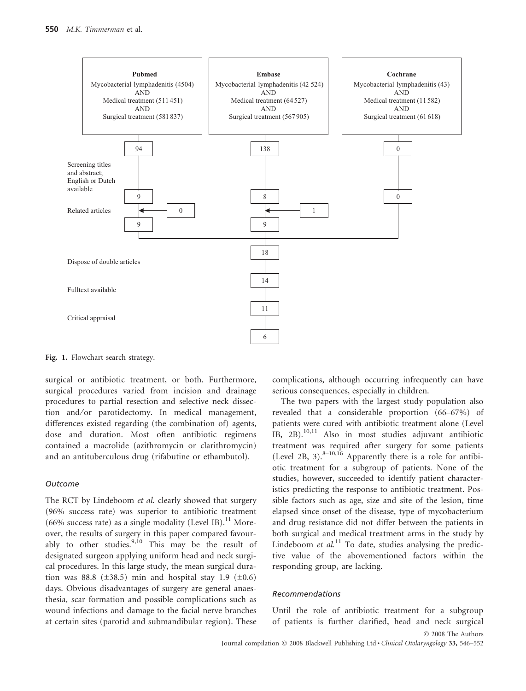

Fig. 1. Flowchart search strategy.

surgical or antibiotic treatment, or both. Furthermore, surgical procedures varied from incision and drainage procedures to partial resection and selective neck dissection and/or parotidectomy. In medical management, differences existed regarding (the combination of) agents, dose and duration. Most often antibiotic regimens contained a macrolide (azithromycin or clarithromycin) and an antituberculous drug (rifabutine or ethambutol).

#### **Outcome**

The RCT by Lindeboom et al. clearly showed that surgery (96% success rate) was superior to antibiotic treatment (66% success rate) as a single modality (Level IB).<sup>11</sup> Moreover, the results of surgery in this paper compared favourably to other studies.<sup>9,10</sup> This may be the result of designated surgeon applying uniform head and neck surgical procedures. In this large study, the mean surgical duration was 88.8 ( $\pm$ 38.5) min and hospital stay 1.9 ( $\pm$ 0.6) days. Obvious disadvantages of surgery are general anaesthesia, scar formation and possible complications such as wound infections and damage to the facial nerve branches at certain sites (parotid and submandibular region). These complications, although occurring infrequently can have serious consequences, especially in children.

The two papers with the largest study population also revealed that a considerable proportion (66–67%) of patients were cured with antibiotic treatment alone (Level IB, 2B).10,11 Also in most studies adjuvant antibiotic treatment was required after surgery for some patients (Level 2B, 3). $8-10,16$  Apparently there is a role for antibiotic treatment for a subgroup of patients. None of the studies, however, succeeded to identify patient characteristics predicting the response to antibiotic treatment. Possible factors such as age, size and site of the lesion, time elapsed since onset of the disease, type of mycobacterium and drug resistance did not differ between the patients in both surgical and medical treatment arms in the study by Lindeboom et  $al$ <sup>11</sup>. To date, studies analysing the predictive value of the abovementioned factors within the responding group, are lacking.

#### Recommendations

Until the role of antibiotic treatment for a subgroup of patients is further clarified, head and neck surgical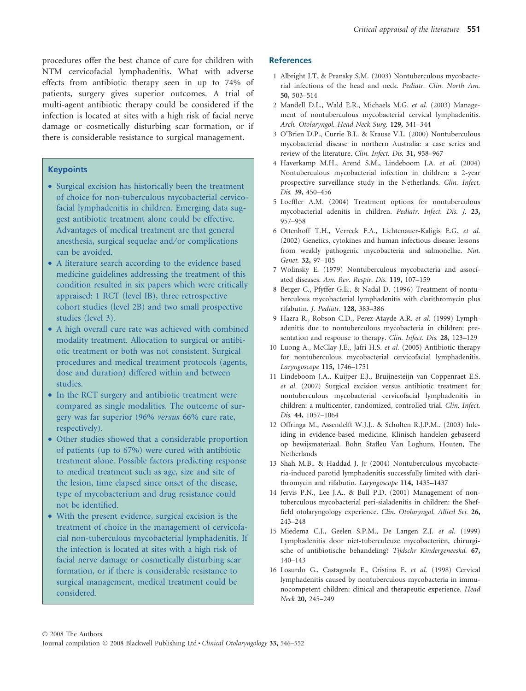procedures offer the best chance of cure for children with NTM cervicofacial lymphadenitis. What with adverse effects from antibiotic therapy seen in up to 74% of patients, surgery gives superior outcomes. A trial of multi-agent antibiotic therapy could be considered if the infection is located at sites with a high risk of facial nerve damage or cosmetically disturbing scar formation, or if there is considerable resistance to surgical management.

### **Keypoints**

- Surgical excision has historically been the treatment of choice for non-tuberculous mycobacterial cervicofacial lymphadenitis in children. Emerging data suggest antibiotic treatment alone could be effective. Advantages of medical treatment are that general anesthesia, surgical sequelae and/or complications can be avoided.
- A literature search according to the evidence based medicine guidelines addressing the treatment of this condition resulted in six papers which were critically appraised: 1 RCT (level IB), three retrospective cohort studies (level 2B) and two small prospective studies (level 3).
- A high overall cure rate was achieved with combined modality treatment. Allocation to surgical or antibiotic treatment or both was not consistent. Surgical procedures and medical treatment protocols (agents, dose and duration) differed within and between studies.
- In the RCT surgery and antibiotic treatment were compared as single modalities. The outcome of surgery was far superior (96% versus 66% cure rate, respectively).
- Other studies showed that a considerable proportion of patients (up to 67%) were cured with antibiotic treatment alone. Possible factors predicting response to medical treatment such as age, size and site of the lesion, time elapsed since onset of the disease, type of mycobacterium and drug resistance could not be identified.
- With the present evidence, surgical excision is the treatment of choice in the management of cervicofacial non-tuberculous mycobacterial lymphadenitis. If the infection is located at sites with a high risk of facial nerve damage or cosmetically disturbing scar formation, or if there is considerable resistance to surgical management, medical treatment could be considered.

# References

- 1 Albright J.T. & Pransky S.M. (2003) Nontuberculous mycobacterial infections of the head and neck. Pediatr. Clin. North Am. 50, 503–514
- 2 Mandell D.L., Wald E.R., Michaels M.G. et al. (2003) Management of nontuberculous mycobacterial cervical lymphadenitis. Arch. Otolaryngol. Head Neck Surg. 129, 341–344
- 3 O'Brien D.P., Currie B.J.. & Krause V.L. (2000) Nontuberculous mycobacterial disease in northern Australia: a case series and review of the literature. Clin. Infect. Dis. 31, 958–967
- 4 Haverkamp M.H., Arend S.M., Lindeboom J.A. et al. (2004) Nontuberculous mycobacterial infection in children: a 2-year prospective surveillance study in the Netherlands. Clin. Infect. Dis. 39, 450–456
- 5 Loeffler A.M. (2004) Treatment options for nontuberculous mycobacterial adenitis in children. Pediatr. Infect. Dis. J. 23, 957–958
- 6 Ottenhoff T.H., Verreck F.A., Lichtenauer-Kaligis E.G. et al. (2002) Genetics, cytokines and human infectious disease: lessons from weakly pathogenic mycobacteria and salmonellae. Nat. Genet. 32, 97–105
- 7 Wolinsky E. (1979) Nontuberculous mycobacteria and associated diseases. Am. Rev. Respir. Dis. 119, 107–159
- 8 Berger C., Pfyffer G.E.. & Nadal D. (1996) Treatment of nontuberculous mycobacterial lymphadenitis with clarithromycin plus rifabutin. J. Pediatr. 128, 383–386
- 9 Hazra R., Robson C.D., Perez-Atayde A.R. et al. (1999) Lymphadenitis due to nontuberculous mycobacteria in children: presentation and response to therapy. Clin. Infect. Dis. 28, 123–129
- 10 Luong A., McClay J.E., Jafri H.S. et al. (2005) Antibiotic therapy for nontuberculous mycobacterial cervicofacial lymphadenitis. Laryngoscope 115, 1746–1751
- 11 Lindeboom J.A., Kuijper E.J., Bruijnesteijn van Coppenraet E.S. et al. (2007) Surgical excision versus antibiotic treatment for nontuberculous mycobacterial cervicofacial lymphadenitis in children: a multicenter, randomized, controlled trial. Clin. Infect. Dis. 44, 1057–1064
- 12 Offringa M., Assendelft W.J.J.. & Scholten R.J.P.M.. (2003) Inleiding in evidence-based medicine. Klinisch handelen gebaseerd op bewijsmateriaal. Bohn Stafleu Van Loghum, Houten, The Netherlands
- 13 Shah M.B.. & Haddad J. Jr (2004) Nontuberculous mycobacteria-induced parotid lymphadenitis successfully limited with clarithromycin and rifabutin. Laryngoscope 114, 1435–1437
- 14 Jervis P.N., Lee J.A.. & Bull P.D. (2001) Management of nontuberculous mycobacterial peri-sialadenitis in children: the Sheffield otolaryngology experience. Clin. Otolaryngol. Allied Sci. 26, 243–248
- 15 Miedema C.J., Geelen S.P.M., De Langen Z.J. et al. (1999) Lymphadenitis door niet-tuberculeuze mycobacteriën, chirurgische of antibiotische behandeling? Tijdschr Kindergeneeskd. 67, 140–143
- 16 Losurdo G., Castagnola E., Cristina E. et al. (1998) Cervical lymphadenitis caused by nontuberculous mycobacteria in immunocompetent children: clinical and therapeutic experience. Head Neck 20, 245–249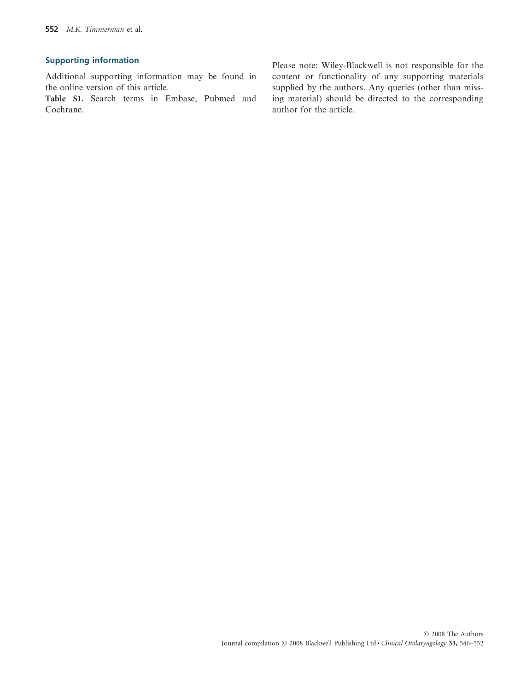# Supporting information

Additional supporting information may be found in the online version of this article.

Table S1. Search terms in Embase, Pubmed and Cochrane.

Please note: Wiley-Blackwell is not responsible for the content or functionality of any supporting materials supplied by the authors. Any queries (other than missing material) should be directed to the corresponding author for the article.